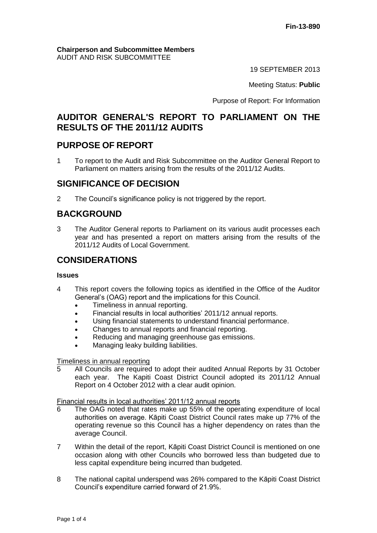#### **Chairperson and Subcommittee Members** AUDIT AND RISK SUBCOMMITTEE

19 SEPTEMBER 2013

Meeting Status: **Public**

Purpose of Report: For Information

# **AUDITOR GENERAL'S REPORT TO PARLIAMENT ON THE RESULTS OF THE 2011/12 AUDITS**

## **PURPOSE OF REPORT**

1 To report to the Audit and Risk Subcommittee on the Auditor General Report to Parliament on matters arising from the results of the 2011/12 Audits.

## **SIGNIFICANCE OF DECISION**

2 The Council's significance policy is not triggered by the report.

# **BACKGROUND**

3 The Auditor General reports to Parliament on its various audit processes each year and has presented a report on matters arising from the results of the 2011/12 Audits of Local Government.

# **CONSIDERATIONS**

#### **Issues**

- 4 This report covers the following topics as identified in the Office of the Auditor General's (OAG) report and the implications for this Council.
	- Timeliness in annual reporting.
	- Financial results in local authorities' 2011/12 annual reports.
	- Using financial statements to understand financial performance.
	- Changes to annual reports and financial reporting.
	- Reducing and managing greenhouse gas emissions.
	- Managing leaky building liabilities.

## Timeliness in annual reporting

5 All Councils are required to adopt their audited Annual Reports by 31 October each year. The Kapiti Coast District Council adopted its 2011/12 Annual Report on 4 October 2012 with a clear audit opinion.

## Financial results in local authorities' 2011/12 annual reports

- The OAG noted that rates make up 55% of the operating expenditure of local authorities on average. Kāpiti Coast District Council rates make up 77% of the operating revenue so this Council has a higher dependency on rates than the average Council.
- 7 Within the detail of the report, Kāpiti Coast District Council is mentioned on one occasion along with other Councils who borrowed less than budgeted due to less capital expenditure being incurred than budgeted.
- 8 The national capital underspend was 26% compared to the Kāpiti Coast District Council's expenditure carried forward of 21.9%.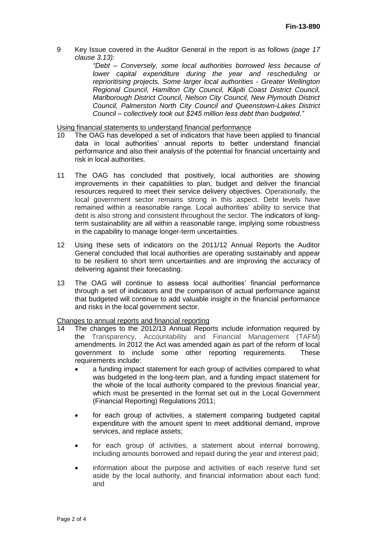9 Key Issue covered in the Auditor General in the report is as follows *(page 17 clause 3.13):*

> *"Debt – Conversely, some local authorities borrowed less because of lower capital expenditure during the year and rescheduling or reprioritising projects. Some larger local authorities - Greater Wellington Regional Council, Hamilton City Council, Kāpiti Coast District Council, Marlborough District Council, Nelson City Council, New Plymouth District Council, Palmerston North City Council and Queenstown-Lakes District Council – collectively took out \$245 million less debt than budgeted."*

Using financial statements to understand financial performance<br>10 The OAG has developed a set of indicators that have been

- The OAG has developed a set of indicators that have been applied to financial data in local authorities' annual reports to better understand financial performance and also their analysis of the potential for financial uncertainty and risk in local authorities.
- 11 The OAG has concluded that positively, local authorities are showing improvements in their capabilities to plan, budget and deliver the financial resources required to meet their service delivery objectives. Operationally, the local government sector remains strong in this aspect. Debt levels have remained within a reasonable range. Local authorities' ability to service that debt is also strong and consistent throughout the sector. The indicators of longterm sustainability are all within a reasonable range, implying some robustness in the capability to manage longer-term uncertainties.
- 12 Using these sets of indicators on the 2011/12 Annual Reports the Auditor General concluded that local authorities are operating sustainably and appear to be resilient to short term uncertainties and are improving the accuracy of delivering against their forecasting.
- 13 The OAG will continue to assess local authorities' financial performance through a set of indicators and the comparison of actual performance against that budgeted will continue to add valuable insight in the financial performance and risks in the local government sector.

Changes to annual reports and financial reporting

- 14 The changes to the 2012/13 Annual Reports include information required by the Transparency, Accountability and Financial Management (TAFM) amendments. In 2012 the Act was amended again as part of the reform of local government to include some other reporting requirements. These requirements include:
	- a funding impact statement for each group of activities compared to what was budgeted in the long-term plan, and a funding impact statement for the whole of the local authority compared to the previous financial year, which must be presented in the format set out in the Local Government (Financial Reporting) Regulations 2011;
	- for each group of activities, a statement comparing budgeted capital expenditure with the amount spent to meet additional demand, improve services, and replace assets;
	- for each group of activities, a statement about internal borrowing, including amounts borrowed and repaid during the year and interest paid;
	- information about the purpose and activities of each reserve fund set aside by the local authority, and financial information about each fund; and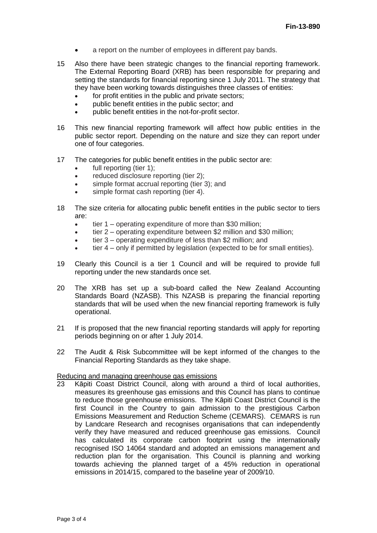- a report on the number of employees in different pay bands.
- 15 Also there have been strategic changes to the financial reporting framework. The External Reporting Board (XRB) has been responsible for preparing and setting the standards for financial reporting since 1 July 2011. The strategy that they have been working towards distinguishes three classes of entities:
	- for profit entities in the public and private sectors:
	- public benefit entities in the public sector; and
	- public benefit entities in the not-for-profit sector.
- 16 This new financial reporting framework will affect how public entities in the public sector report. Depending on the nature and size they can report under one of four categories.
- 17 The categories for public benefit entities in the public sector are:
	- full reporting (tier 1);
	- reduced disclosure reporting (tier 2);
	- simple format accrual reporting (tier 3); and
	- simple format cash reporting (tier 4).
- 18 The size criteria for allocating public benefit entities in the public sector to tiers are:
	- tier 1 operating expenditure of more than \$30 million;
	- tier 2 operating expenditure between \$2 million and \$30 million;
	- tier 3 operating expenditure of less than \$2 million; and
	- tier 4 only if permitted by legislation (expected to be for small entities).
- 19 Clearly this Council is a tier 1 Council and will be required to provide full reporting under the new standards once set.
- 20 The XRB has set up a sub-board called the New Zealand Accounting Standards Board (NZASB). This NZASB is preparing the financial reporting standards that will be used when the new financial reporting framework is fully operational.
- 21 If is proposed that the new financial reporting standards will apply for reporting periods beginning on or after 1 July 2014.
- 22 The Audit & Risk Subcommittee will be kept informed of the changes to the Financial Reporting Standards as they take shape.

# Reducing and managing greenhouse gas emissions<br>23 Kāpiti Coast District Council, along with aro

Kāpiti Coast District Council, along with around a third of local authorities, measures its greenhouse gas emissions and this Council has plans to continue to reduce those greenhouse emissions. The Kāpiti Coast District Council is the first Council in the Country to gain admission to the prestigious Carbon Emissions Measurement and Reduction Scheme (CEMARS). CEMARS is run by Landcare Research and recognises organisations that can independently verify they have measured and reduced greenhouse gas emissions. Council has calculated its corporate carbon footprint using the internationally recognised ISO 14064 standard and adopted an emissions management and reduction plan for the organisation. This Council is planning and working towards achieving the planned target of a 45% reduction in operational emissions in 2014/15, compared to the baseline year of 2009/10.